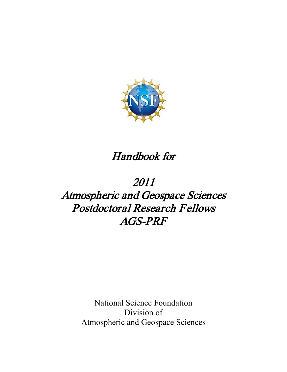

# Handbook for

# 2011 Atmospheric and Geospace Sciences Postdoctoral Research Fellows AGS-PRF

National Science Foundation Division of Atmospheric and Geospace Sciences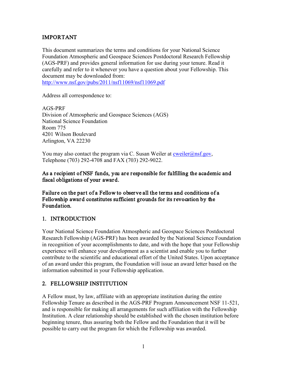# IMPORTANT

This document summarizes the terms and conditions for your National Science Foundation Atmospheric and Geospace Sciences Postdoctoral Research Fellowship (AGS-PRF) and provides general information for use during your tenure. Read it carefully and refer to it whenever you have a question about your Fellowship. This document may be downloaded from:

<http://www.nsf.gov/pubs/2011/nsf11069/nsf11069.pdf>

Address all correspondence to:

AGS-PRF Division of Atmospheric and Geospace Sciences (AGS) National Science Foundation Room 775 4201 Wilson Boulevard Arlington, VA 22230

You may also contact the program via C. Susan Weiler at  $\frac{\text{cweiler}(a) \text{nsf.gov}}{\text{cweiler}(a) \text{nsf.gov}}$ Telephone (703) 292-4708 and FAX (703) 292-9022.

### As a recipient of NSF funds, you are responsible for fulfilling the academic and fiscal obligations of your award.

Failure on the part of a Fellow to observe all the terms and conditions of a Fellowship award constitutes sufficient grounds for its revocation by the Foundation.

### 1. INTRODUCTION

Your National Science Foundation Atmospheric and Geospace Sciences Postdoctoral Research Fellowship (AGS-PRF) has been awarded by the National Science Foundation in recognition of your accomplishments to date, and with the hope that your Fellowship experience will enhance your development as a scientist and enable you to further contribute to the scientific and educational effort of the United States. Upon acceptance of an award under this program, the Foundation will issue an award letter based on the information submitted in your Fellowship application.

# 2. FELLOWSHIP INSTITUTION

A Fellow must, by law, affiliate with an appropriate institution during the entire Fellowship Tenure as described in the AGS-PRF Program Announcement NSF 11-521, and is responsible for making all arrangements for such affiliation with the Fellowship Institution. A clear relationship should be established with the chosen institution before beginning tenure, thus assuring both the Fellow and the Foundation that it will be possible to carry out the program for which the Fellowship was awarded.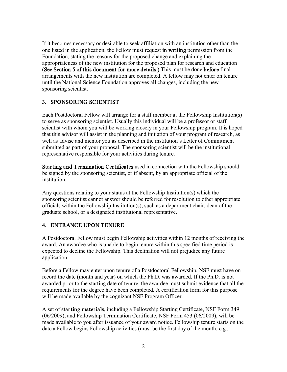If it becomes necessary or desirable to seek affiliation with an institution other than the one listed in the application, the Fellow must request in writing permission from the Foundation, stating the reasons for the proposed change and explaining the appropriateness of the new institution for the proposed plan for research and education (See Section 5 of this document for more details.) This must be done before final arrangements with the new institution are completed. A fellow may not enter on tenure until the National Science Foundation approves all changes, including the new sponsoring scientist.

## 3. SPONSORING SCIENTIST

Each Postdoctoral Fellow will arrange for a staff member at the Fellowship Institution(s) to serve as sponsoring scientist. Usually this individual will be a professor or staff scientist with whom you will be working closely in your Fellowship program. It is hoped that this advisor will assist in the planning and initiation of your program of research, as well as advise and mentor you as described in the institution's Letter of Commitment submitted as part of your proposal. The sponsoring scientist will be the institutional representative responsible for your activities during tenure.

Starting and Termination Certificates used in connection with the Fellowship should be signed by the sponsoring scientist, or if absent, by an appropriate official of the institution.

Any questions relating to your status at the Fellowship Institution(s) which the sponsoring scientist cannot answer should be referred for resolution to other appropriate officials within the Fellowship Institution(s), such as a department chair, dean of the graduate school, or a designated institutional representative.

# 4. ENTRANCE UPON TENURE

A Postdoctoral Fellow must begin Fellowship activities within 12 months of receiving the award. An awardee who is unable to begin tenure within this specified time period is expected to decline the Fellowship. This declination will not prejudice any future application.

Before a Fellow may enter upon tenure of a Postdoctoral Fellowship, NSF must have on record the date (month and year) on which the Ph.D. was awarded. If the Ph.D. is not awarded prior to the starting date of tenure, the awardee must submit evidence that all the requirements for the degree have been completed. A certification form for this purpose will be made available by the cognizant NSF Program Officer.

A set of starting materials, including a Fellowship Starting Certificate, NSF Form 349 (06/2009), and Fellowship Termination Certificate, NSF Form 453 (06/2009), will be made available to you after issuance of your award notice. Fellowship tenure starts on the date a Fellow begins Fellowship activities (must be the first day of the month; e.g.,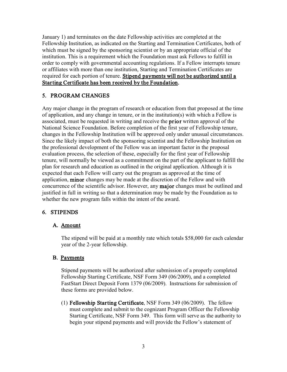January 1) and terminates on the date Fellowship activities are completed at the Fellowship Institution, as indicated on the Starting and Termination Certificates, both of which must be signed by the sponsoring scientist or by an appropriate official of the institution. This is a requirement which the Foundation must ask Fellows to fulfill in order to comply with governmental accounting regulations. If a Fellow interrupts tenure or affiliates with more than one institution, Starting and Termination Certificates are required for each portion of tenure. Stipend payments will not be authorized until a Starting Certificate has been received by the Foundation.

# 5. PROGRAM CHANGES

Any major change in the program of research or education from that proposed at the time of application, and any change in tenure, or in the institution(s) with which a Fellow is associated, must be requested in writing and receive the prior written approval of the National Science Foundation. Before completion of the first year of Fellowship tenure, changes in the Fellowship Institution will be approved only under unusual circumstances. Since the likely impact of both the sponsoring scientist and the Fellowship Institution on the professional development of the Fellow was an important factor in the proposal evaluation process, the selection of these, especially for the first year of Fellowship tenure, will normally be viewed as a commitment on the part of the applicant to fulfill the plan for research and education as outlined in the original application. Although it is expected that each Fellow will carry out the program as approved at the time of application, minor changes may be made at the discretion of the Fellow and with concurrence of the scientific advisor. However, any major changes must be outlined and justified in full in writing so that a determination may be made by the Foundation as to whether the new program falls within the intent of the award.

# 6. STIPENDS

# A. Amount

The stipend will be paid at a monthly rate which totals \$58,000 for each calendar year of the 2-year fellowship.

# B. Payments

Stipend payments will be authorized after submission of a properly completed Fellowship Starting Certificate, NSF Form 349 (06/2009), and a completed FastStart Direct Deposit Form 1379 (06/2009). Instructions for submission of these forms are provided below.

(1) Fellowship Starting Certificate, NSF Form 349 (06/2009). The fellow must complete and submit to the cognizant Program Officer the Fellowship Starting Certificate, NSF Form 349. This form will serve as the authority to begin your stipend payments and will provide the Fellow's statement of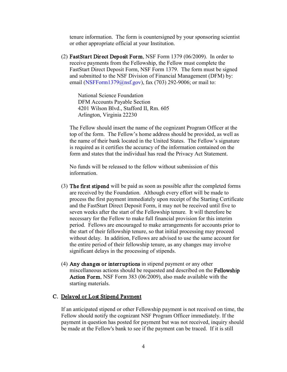tenure information. The form is countersigned by your sponsoring scientist or other appropriate official at your Institution.

(2) FastStart Direct Deposit Form, NSF Form 1379 (06/2009). In order to receive payments from the Fellowship, the Fellow must complete the FastStart Direct Deposit Form, NSF Form 1379. The form must be signed and submitted to the NSF Division of Financial Management (DFM) by: email [\(NSFForm1379@nsf.gov\), fa](mailto:NSFForm1379@nsf.gov)x (703) 292-9006; or mail to:

National Science Foundation DFM Accounts Payable Section 4201 Wilson Blvd., Stafford II, Rm. 605 Arlington, Virginia 22230

The Fellow should insert the name of the cognizant Program Officer at the top of the form. The Fellow's home address should be provided, as well as the name of their bank located in the United States. The Fellow's signature is required as it certifies the accuracy of the information contained on the form and states that the individual has read the Privacy Act Statement.

 No funds will be released to the fellow without submission of this information.

- (3) The first stipend will be paid as soon as possible after the completed forms are received by the Foundation. Although every effort will be made to process the first payment immediately upon receipt of the Starting Certificate and the FastStart Direct Deposit Form, it may not be received until five to seven weeks after the start of the Fellowship tenure. It will therefore be necessary for the Fellow to make full financial provision for this interim period. Fellows are encouraged to make arrangements for accounts prior to the start of their fellowship tenure, so that initial processing may proceed without delay. In addition, Fellows are advised to use the same account for the entire period of their fellowship tenure, as any changes may involve significant delays in the processing of stipends.
- (4) Any changes or interruptions in stipend payment or any other miscellaneous actions should be requested and described on the Fellowship Action Form, NSF Form 383 (06/2009), also made available with the starting materials.

#### C. Delayed or Lost Stipend Payment

If an anticipated stipend or other Fellowship payment is not received on time, the Fellow should notify the cognizant NSF Program Officer immediately. If the payment in question has posted for payment but was not received, inquiry should be made at the Fellow's bank to see if the payment can be traced. If it is still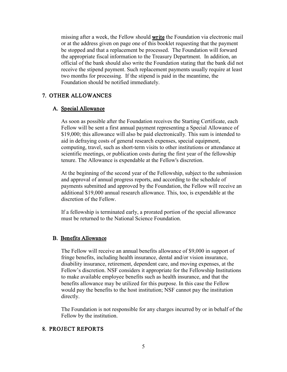missing after a week, the Fellow should **write** the Foundation via electronic mail or at the address given on page one of this booklet requesting that the payment be stopped and that a replacement be processed. The Foundation will forward the appropriate fiscal information to the Treasury Department. In addition, an official of the bank should also write the Foundation stating that the bank did not receive the stipend payment. Such replacement payments usually require at least two months for processing. If the stipend is paid in the meantime, the Foundation should be notified immediately.

### 7. OTHER ALLOWANCES

#### A. Special Allowance

As soon as possible after the Foundation receives the Starting Certificate, each Fellow will be sent a first annual payment representing a Special Allowance of \$19,000; this allowance will also be paid electronically. This sum is intended to aid in defraying costs of general research expenses, special equipment, computing, travel, such as short-term visits to other institutions or attendance at scientific meetings, or publication costs during the first year of the fellowship tenure. The Allowance is expendable at the Fellow's discretion.

At the beginning of the second year of the Fellowship, subject to the submission and approval of annual progress reports, and according to the schedule of payments submitted and approved by the Foundation, the Fellow will receive an additional \$19,000 annual research allowance. This, too, is expendable at the discretion of the Fellow.

If a fellowship is terminated early, a prorated portion of the special allowance must be returned to the National Science Foundation.

#### B. Benefits Allowance

The Fellow will receive an annual benefits allowance of \$9,000 in support of fringe benefits, including health insurance, dental and/or vision insurance, disability insurance, retirement, dependent care, and moving expenses, at the Fellow's discretion. NSF considers it appropriate for the Fellowship Institutions to make available employee benefits such as health insurance, and that the benefits allowance may be utilized for this purpose. In this case the Fellow would pay the benefits to the host institution; NSF cannot pay the institution directly.

The Foundation is not responsible for any charges incurred by or in behalf of the Fellow by the institution.

#### 8. PROJECT REPORTS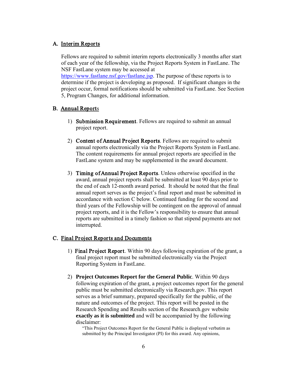#### A. Interim Reports

Fellows are required to submit interim reports electronically 3 months after start of each year of the fellowship, via the Project Reports System in FastLane. The NSF FastLane system may be accessed at

[https://www.fastlane.nsf.gov/fastlane.jsp.](https://www.fastlane.nsf.gov/fastlane.jsp) The purpose of these reports is to determine if the project is developing as proposed. If significant changes in the project occur, formal notifications should be submitted via FastLane. See Section 5, Program Changes, for additional information.

#### B. Annual Reports

- 1) Submission Requirement. Fellows are required to submit an annual project report.
- 2) Content of Annual Project Reports. Fellows are required to submit annual reports electronically via the Project Reports System in FastLane. The content requirements for annual project reports are specified in the FastLane system and may be supplemented in the award document.
- 3) Timing of Annual Project Reports. Unless otherwise specified in the award, annual project reports shall be submitted at least 90 days prior to the end of each 12-month award period. It should be noted that the final annual report serves as the project's final report and must be submitted in accordance with section C below. Continued funding for the second and third years of the Fellowship will be contingent on the approval of annual project reports, and it is the Fellow's responsibility to ensure that annual reports are submitted in a timely fashion so that stipend payments are not interrupted.

#### C. Final Project Reports and Documents

- 1) Final Project Report. Within 90 days following expiration of the grant, a final project report must be submitted electronically via the Project Reporting System in FastLane.
- 2) **Project Outcomes Report for the General Public**. Within 90 days following expiration of the grant, a project outcomes report for the general public must be submitted electronically via Research.gov. This report serves as a brief summary, prepared specifically for the public, of the nature and outcomes of the project. This report will be posted in the Research Spending and Results section of the Research.gov website **exactly as it is submitted** and will be accompanied by the following disclaimer:

"This Project Outcomes Report for the General Public is displayed verbatim as submitted by the Principal Investigator (PI) for this award. Any opinions,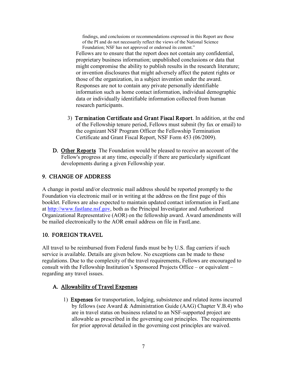findings, and conclusions or recommendations expressed in this Report are those of the PI and do not necessarily reflect the views of the National Science Foundation; NSF has not approved or endorsed its content."

Fellows are to ensure that the report does not contain any confidential, proprietary business information; unpublished conclusions or data that might compromise the ability to publish results in the research literature; or invention disclosures that might adversely affect the patent rights or those of the organization, in a subject invention under the award. Responses are not to contain any private personally identifiable information such as home contact information, individual demographic data or individually identifiable information collected from human research participants.

- 3) Termination Certificate and Grant Fiscal Report. In addition, at the end of the Fellowship tenure period, Fellows must submit (by fax or email) to the cognizant NSF Program Officer the Fellowship Termination Certificate and Grant Fiscal Report, NSF Form 453 (06/2009).
- D. Other Reports The Foundation would be pleased to receive an account of the Fellow's progress at any time, especially if there are particularly significant developments during a given Fellowship year.

# 9. CHANGE OF ADDRESS

A change in postal and/or electronic mail address should be reported promptly to the Foundation via electronic mail or in writing at the address on the first page of this booklet. Fellows are also expected to maintain updated contact information in FastLane at [http://www.fastlane.nsf.gov,](http://www.fastlane.nsf.gov/) both as the Principal Investigator and Authorized Organizational Representative (AOR) on the fellowship award. Award amendments will be mailed electronically to the AOR email address on file in FastLane.

# 10. FOREIGN TRAVEL

All travel to be reimbursed from Federal funds must be by U.S. flag carriers if such service is available. Details are given below. No exceptions can be made to these regulations. Due to the complexity of the travel requirements, Fellows are encouraged to consult with the Fellowship Institution's Sponsored Projects Office – or equivalent – regarding any travel issues.

# A. Allowability of Travel Expenses

1) Expenses for transportation, lodging, subsistence and related items incurred by fellows (see Award & Administration Guide (AAG) Chapter V.B.4) who are in travel status on business related to an NSF-supported project are allowable as prescribed in the governing cost principles. The requirements for prior approval detailed in the governing cost principles are waived.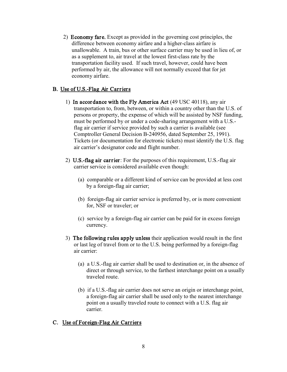2) Economy fare. Except as provided in the governing cost principles, the difference between economy airfare and a higher-class airfare is unallowable. A train, bus or other surface carrier may be used in lieu of, or as a supplement to, air travel at the lowest first-class rate by the transportation facility used. If such travel, however, could have been performed by air, the allowance will not normally exceed that for jet economy airfare.

# B. Use of U.S.-Flag Air Carriers

- 1) In accordance with the Fly America Act (49 USC 40118), any air transportation to, from, between, or within a country other than the U.S. of persons or property, the expense of which will be assisted by NSF funding, must be performed by or under a code-sharing arrangement with a U.S. flag air carrier if service provided by such a carrier is available (see Comptroller General Decision B-240956, dated September 25, 1991). Tickets (or documentation for electronic tickets) must identify the U.S. flag air carrier's designator code and flight number.
- 2) U.S.-flag air carrier: For the purposes of this requirement, U.S.-flag air carrier service is considered available even though:
	- (a) comparable or a different kind of service can be provided at less cost by a foreign-flag air carrier;
	- (b) foreign-flag air carrier service is preferred by, or is more convenient for, NSF or traveler; or
	- (c) service by a foreign-flag air carrier can be paid for in excess foreign currency.
- 3) The following rules apply unless their application would result in the first or last leg of travel from or to the U.S. being performed by a foreign-flag air carrier:
	- (a) a U.S.-flag air carrier shall be used to destination or, in the absence of direct or through service, to the farthest interchange point on a usually traveled route.
	- (b) if a U.S.-flag air carrier does not serve an origin or interchange point, a foreign-flag air carrier shall be used only to the nearest interchange point on a usually traveled route to connect with a U.S. flag air carrier.

# C. Use of Foreign-Flag Air Carriers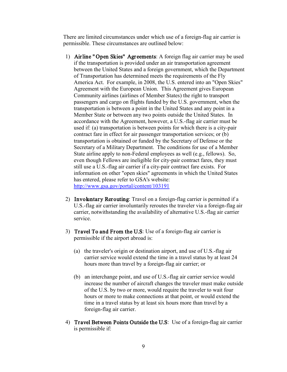There are limited circumstances under which use of a foreign-flag air carrier is permissible. These circumstances are outlined below:

- 1) Airline " Open Skies" Agreements: A foreign flag air carrier may be used if the transportation is provided under an air transportation agreement between the United States and a foreign government, which the Department of Transportation has determined meets the requirements of the Fly America Act. For example, in 2008, the U.S. entered into an "Open Skies" Agreement with the European Union. This Agreement gives European Community airlines (airlines of Member States) the right to transport passengers and cargo on flights funded by the U.S. government, when the transportation is between a point in the United States and any point in a Member State or between any two points outside the United States. In accordance with the Agreement, however, a U.S.-flag air carrier must be used if: (a) transportation is between points for which there is a city-pair contract fare in effect for air passenger transportation services; or (b) transportation is obtained or funded by the Secretary of Defense or the Secretary of a Military Department. The conditions for use of a Member State airline apply to non-Federal employees as well (e.g., fellows). So, even though Fellows are ineligible for city-pair contract fares, they must still use a U.S.-flag air carrier if a city-pair contract fare exists. For information on other "open skies" agreements in which the United States has entered, please refer to GSA's website: <http://www.gsa.gov/portal/content/103191>
- 2) Involuntary Rerouting: Travel on a foreign-flag carrier is permitted if a U.S.-flag air carrier involuntarily reroutes the traveler via a foreign-flag air carrier, notwithstanding the availability of alternative U.S.-flag air carrier service.
- 3) Travel To and From the U.S: Use of a foreign-flag air carrier is permissible if the airport abroad is:
	- (a) the traveler's origin or destination airport, and use of U.S.-flag air carrier service would extend the time in a travel status by at least 24 hours more than travel by a foreign-flag air carrier; or
	- (b) an interchange point, and use of U.S.-flag air carrier service would increase the number of aircraft changes the traveler must make outside of the U.S. by two or more, would require the traveler to wait four hours or more to make connections at that point, or would extend the time in a travel status by at least six hours more than travel by a foreign-flag air carrier.
- 4) Travel Between Points Outside the U.S: Use of a foreign-flag air carrier is permissible if: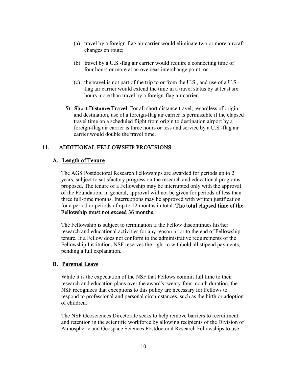- (a) travel by a foreign-flag air carrier would eliminate two or more aircraft changes en route;
- (b) travel by a U.S.-flag air carrier would require a connecting time of four hours or more at an overseas interchange point; or
- (c) the travel is not part of the trip to or from the U.S., and use of a U.S. flag air carrier would extend the time in a travel status by at least six hours more than travel by a foreign-flag air carrier.
- 5) Short Distance Travel: For all short distance travel, regardless of origin and destination, use of a foreign-flag air carrier is permissible if the elapsed travel time on a scheduled flight from origin to destination airport by a foreign-flag air carrier is three hours or less and service by a U.S.-flag air carrier would double the travel time.

# 11. ADDITIONAL FELLOWSHIP PROVISIONS

## A. Length of Tenure

The AGS Postdoctoral Research Fellowships are awarded for periods up to 2 years, subject to satisfactory progress on the research and educational programs proposed. The tenure of a Fellowship may be interrupted only with the approval of the Foundation. In general, approval will not be given for periods of less than three full-time months. Interruptions may be approved with written justification for a period or periods of up to 12 months in total. The total elapsed time of the Fellowship must not exceed 36 months.

The Fellowship is subject to termination if the Fellow discontinues his/her research and educational activities for any reason prior to the end of Fellowship tenure. If a Fellow does not conform to the administrative requirements of the Fellowship Institution, NSF reserves the right to withhold all stipend payments, pending a full explanation.

### **B. Parental Leave**

While it is the expectation of the NSF that Fellows commit full time to their research and education plans over the award's twenty-four month duration, the NSF recognizes that exceptions to this policy are necessary for Fellows to respond to professional and personal circumstances, such as the birth or adoption of children.

The NSF Geosciences Directorate seeks to help remove barriers to recruitment and retention in the scientific workforce by allowing recipients of the Division of Atmospheric and Geospace Sciences Postdoctoral Research Fellowships to use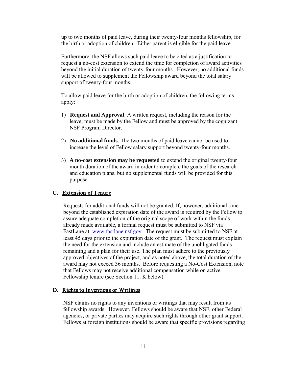up to two months of paid leave, during their twenty-four months fellowship, for the birth or adoption of children. Either parent is eligible for the paid leave.

Furthermore, the NSF allows such paid leave to be cited as a justification to request a no-cost extension to extend the time for completion of award activities beyond the initial duration of twenty-four months. However, no additional funds will be allowed to supplement the Fellowship award beyond the total salary support of twenty-four months.

To allow paid leave for the birth or adoption of children, the following terms apply:

- 1) **Request and Approval**: A written request, including the reason for the leave, must be made by the Fellow and must be approved by the cognizant NSF Program Director.
- 2) **No additional funds**: The two months of paid leave cannot be used to increase the level of Fellow salary support beyond twenty-four months.
- 3) **A no-cost extension may be requested** to extend the original twenty-four month duration of the award in order to complete the goals of the research and education plans, but no supplemental funds will be provided for this purpose.

### C. Extension of Tenure

Requests for additional funds will not be granted. If, however, additional time beyond the established expiration date of the award is required by the Fellow to assure adequate completion of the original scope of work within the funds already made available, a formal request must be submitted to NSF via FastLane at: [www.fastlane.nsf.gov. T](http://www.fastlane.nsf.gov)he request must be submitted to NSF at least 45 days prior to the expiration date of the grant. The request must explain the need for the extension and include an estimate of the unobligated funds remaining and a plan for their use. The plan must adhere to the previously approved objectives of the project, and as noted above, the total duration of the award may not exceed 36 months. Before requesting a No-Cost Extension, note that Fellows may not receive additional compensation while on active Fellowship tenure (see Section 11. K below).

### D. Rights to Inventions or Writings

NSF claims no rights to any inventions or writings that may result from its fellowship awards. However, Fellows should be aware that NSF, other Federal agencies, or private parties may acquire such rights through other grant support. Fellows at foreign institutions should be aware that specific provisions regarding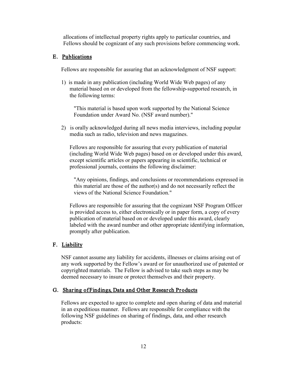allocations of intellectual property rights apply to particular countries, and Fellows should be cognizant of any such provisions before commencing work.

## E. Publications

Fellows are responsible for assuring that an acknowledgment of NSF support:

1) is made in any publication (including World Wide Web pages) of any material based on or developed from the fellowship-supported research, in the following terms:

"This material is based upon work supported by the National Science Foundation under Award No. (NSF award number)."

2) is orally acknowledged during all news media interviews, including popular media such as radio, television and news magazines.

Fellows are responsible for assuring that every publication of material (including World Wide Web pages) based on or developed under this award, except scientific articles or papers appearing in scientific, technical or professional journals, contains the following disclaimer:

"Any opinions, findings, and conclusions or recommendations expressed in this material are those of the author(s) and do not necessarily reflect the views of the National Science Foundation."

Fellows are responsible for assuring that the cognizant NSF Program Officer is provided access to, either electronically or in paper form, a copy of every publication of material based on or developed under this award, clearly labeled with the award number and other appropriate identifying information, promptly after publication.

# F. Liability

NSF cannot assume any liability for accidents, illnesses or claims arising out of any work supported by the Fellow's award or for unauthorized use of patented or copyrighted materials. The Fellow is advised to take such steps as may be deemed necessary to insure or protect themselves and their property.

### G. Sharing of Findings, Data and Other Research Products

Fellows are expected to agree to complete and open sharing of data and material in an expeditious manner. Fellows are responsible for compliance with the following NSF guidelines on sharing of findings, data, and other research products: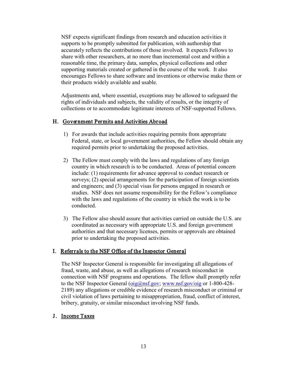NSF expects significant findings from research and education activities it supports to be promptly submitted for publication, with authorship that accurately reflects the contributions of those involved. It expects Fellows to share with other researchers, at no more than incremental cost and within a reasonable time, the primary data, samples, physical collections and other supporting materials created or gathered in the course of the work. It also encourages Fellows to share software and inventions or otherwise make them or their products widely available and usable.

Adjustments and, where essential, exceptions may be allowed to safeguard the rights of individuals and subjects, the validity of results, or the integrity of collections or to accommodate legitimate interests of NSF-supported Fellows.

## H. Government Permits and Activities Abroad

- 1) For awards that include activities requiring permits from appropriate Federal, state, or local government authorities, the Fellow should obtain any required permits prior to undertaking the proposed activities.
- 2) The Fellow must comply with the laws and regulations of any foreign country in which research is to be conducted. Areas of potential concern include: (1) requirements for advance approval to conduct research or surveys; (2) special arrangements for the participation of foreign scientists and engineers; and (3) special visas for persons engaged in research or studies. NSF does not assume responsibility for the Fellow's compliance with the laws and regulations of the country in which the work is to be conducted.
- 3) The Fellow also should assure that activities carried on outside the U.S. are coordinated as necessary with appropriate U.S. and foreign government authorities and that necessary licenses, permits or approvals are obtained prior to undertaking the proposed activities.

### I. Referrals to the NSF Office of the Inspector General

The NSF Inspector General is responsible for investigating all allegations of fraud, waste, and abuse, as well as allegations of research misconduct in connection with NSF programs and operations. The fellow shall promptly refer to the NSF Inspector General  $(\text{oig@nsf.gov}, \text{www.nsf.gov/oig}$  or 1-800-428-2189) any allegations or credible evidence of research misconduct or criminal or civil violation of laws pertaining to misappropriation, fraud, conflict of interest, bribery, gratuity, or similar misconduct involving NSF funds.

### J. Income Taxes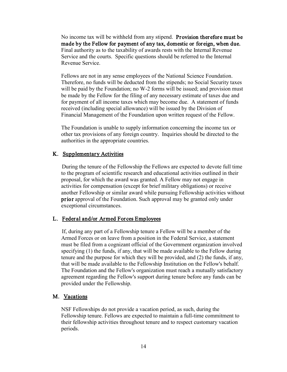No income tax will be withheld from any stipend. Provision therefore must be made by the Fellow for payment of any tax, domestic or foreign, when due. Final authority as to the taxability of awards rests with the Internal Revenue Service and the courts. Specific questions should be referred to the Internal Revenue Service.

Fellows are not in any sense employees of the National Science Foundation. Therefore, no funds will be deducted from the stipends; no Social Security taxes will be paid by the Foundation; no W-2 forms will be issued; and provision must be made by the Fellow for the filing of any necessary estimate of taxes due and for payment of all income taxes which may become due. A statement of funds received (including special allowance) will be issued by the Division of Financial Management of the Foundation upon written request of the Fellow.

The Foundation is unable to supply information concerning the income tax or other tax provisions of any foreign country. Inquiries should be directed to the authorities in the appropriate countries.

## K. Supplementary Activities

 During the tenure of the Fellowship the Fellows are expected to devote full time to the program of scientific research and educational activities outlined in their proposal, for which the award was granted. A Fellow may not engage in activities for compensation (except for brief military obligations) or receive another Fellowship or similar award while pursuing Fellowship activities without prior approval of the Foundation. Such approval may be granted only under exceptional circumstances.

## L. Federal and/or Armed Forces Employees

 If, during any part of a Fellowship tenure a Fellow will be a member of the Armed Forces or on leave from a position in the Federal Service, a statement must be filed from a cognizant official of the Government organization involved specifying (1) the funds, if any, that will be made available to the Fellow during tenure and the purpose for which they will be provided, and (2) the funds, if any, that will be made available to the Fellowship Institution on the Fellow's behalf. The Foundation and the Fellow's organization must reach a mutually satisfactory agreement regarding the Fellow's support during tenure before any funds can be provided under the Fellowship.

## M. Vacations

NSF Fellowships do not provide a vacation period, as such, during the Fellowship tenure. Fellows are expected to maintain a full-time commitment to their fellowship activities throughout tenure and to respect customary vacation periods.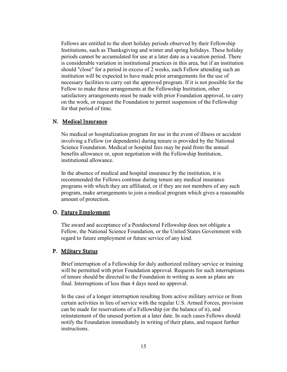Fellows are entitled to the short holiday periods observed by their Fellowship Institutions, such as Thanksgiving and winter and spring holidays. These holiday periods cannot be accumulated for use at a later date as a vacation period. There is considerable variation in institutional practices in this area, but if an institution should "close" for a period in excess of 2 weeks, each Fellow attending such an institution will be expected to have made prior arrangements for the use of necessary facilities to carry out the approved program. If it is not possible for the Fellow to make these arrangements at the Fellowship Institution, other satisfactory arrangements must be made with prior Foundation approval, to carry on the work, or request the Foundation to permit suspension of the Fellowship for that period of time.

#### N. Medical Insurance

 No medical or hospitalization program for use in the event of illness or accident involving a Fellow (or dependents) during tenure is provided by the National Science Foundation. Medical or hospital fees may be paid from the annual benefits allowance or, upon negotiation with the Fellowship Institution, institutional allowance.

 In the absence of medical and hospital insurance by the institution, it is recommended the Fellows continue during tenure any medical insurance programs with which they are affiliated, or if they are not members of any such program, make arrangements to join a medical program which gives a reasonable amount of protection.

#### O. Future Employment

 The award and acceptance of a Postdoctoral Fellowship does not obligate a Fellow, the National Science Foundation, or the United States Government with regard to future employment or future service of any kind.

### P. Military Status

 Brief interruption of a Fellowship for duly authorized military service or training will be permitted with prior Foundation approval. Requests for such interruptions of tenure should be directed to the Foundation in writing as soon as plans are final. Interruptions of less than 4 days need no approval.

 In the case of a longer interruption resulting from active military service or from certain activities in lieu of service with the regular U.S. Armed Forces, provision can be made for reservations of a Fellowship (or the balance of it), and reinstatement of the unused portion at a later date. In such cases Fellows should notify the Foundation immediately in writing of their plans, and request further instructions.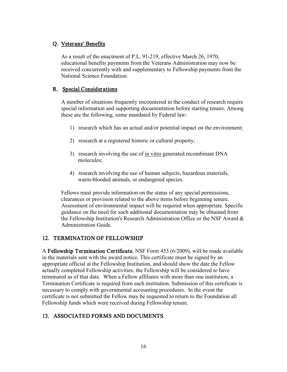# Q. Veterans' Benefits

 As a result of the enactment of P.L. 91-219, effective March 26, 1970, educational benefits payments from the Veterans Administration may now be received concurrently with and supplementary to Fellowship payments from the National Science Foundation.

## R. Special Considerations

A number of situations frequently encountered in the conduct of research require special information and supporting documentation before starting tenure. Among these are the following, some mandated by Federal law:

- 1) research which has an actual and/or potential impact on the environment;
- 2) research at a registered historic or cultural property;
- 3) research involving the use of in vitro generated recombinant DNA molecules;
- 4) research involving the use of human subjects, hazardous materials, warm-blooded animals, or endangered species.

Fellows must provide information on the status of any special permissions, clearances or provision related to the above items before beginning tenure. Assessment of environmental impact will be required when appropriate. Specific guidance on the need for such additional documentation may be obtained from the Fellowship Institution's Research Administration Office or the NSF Award  $\&$ Administration Guide.

# 12. TERMINATION OF FELLOWSHIP

A Fellowship Termination Certificate, NSF Form 453 (6/2009), will be made available in the materials sent with the award notice. This certificate must be signed by an appropriate official at the Fellowship Institution, and should show the date the Fellow actually completed Fellowship activities; the Fellowship will be considered to have terminated as of that date. When a Fellow affiliates with more than one institution, a Termination Certificate is required from each institution. Submission of this certificate is necessary to comply with governmental accounting procedures. In the event the certificate is not submitted the Fellow may be requested to return to the Foundation all Fellowship funds which were received during Fellowship tenure.

# 13. ASSOCIATED FORMS AND DOCUMENTS